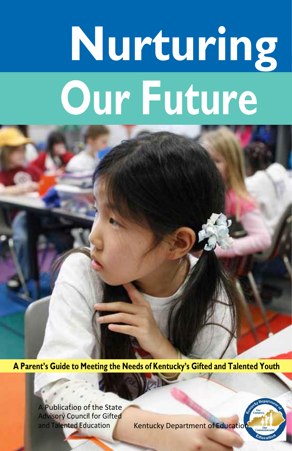# **Nurturing Our Future**

**A Parent's Guide to Meeting the Needs of Kentucky's Gifted and Talented Youth**

A Publication of the State Advisory Council for Gifted<br>and Talented Education

Kentucky Department of Education

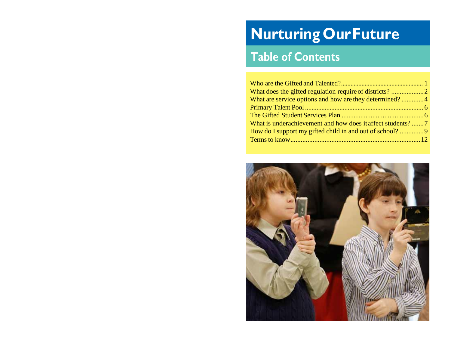# **Nurturing OurFuture**

## **Table of Contents**

| What are service options and how are they determined?4 |  |
|--------------------------------------------------------|--|
|                                                        |  |
|                                                        |  |
|                                                        |  |
|                                                        |  |
|                                                        |  |
|                                                        |  |

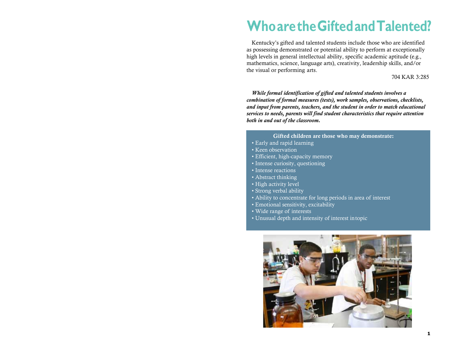# **WhoaretheGiftedandTalented?**

Kentucky's gifted and talented students include those who are identified as possessing demonstrated or potential ability to perform at exceptionally high levels in general intellectual ability, specific academic aptitude (e.g., mathematics, science, language arts), creativity, leadership skills, and/or the visual or performing arts.

#### 704 KAR 3:285

*While formal identification of gifted and talented students involves a combination of formal measures (tests), work samples, observations, checklists, and input from parents, teachers, and the student in order to match educational services to needs, parents will find student characteristics that require attention both in and out of the classroom.*

#### Gifted children are those who may demonstrate:

- Early and rapid learning
- Keen observation
- Efficient, high-capacity memory
- Intense curiosity, questioning
- Intense reactions
- Abstract thinking
- High activity level
- Strong verbal ability
- Ability to concentrate for long periods in area of interest
- Emotional sensitivity, excitability
- Wide range of interests
- Unusual depth and intensity of interest intopic

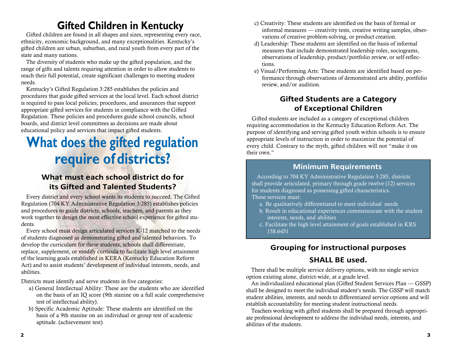### **Gifted Children in Kentucky**

Gifted children are found in all shapes and sizes, representing every race, ethnicity, economic background, and many exceptionalities. Kentucky's gifted children are urban, suburban, and rural youth from every part of the state and many nations.

The diversity of students who make up the gifted population, and the range of gifts and talents requiring attention in order to allow students to reach their full potential, create significant challenges to meeting student needs.

Kentucky's Gifted Regulation 3:285 establishes the policies and procedures that guide gifted services at the local level. Each school district is required to pass local policies, procedures, and assurances that support appropriate gifted services for students in compliance with the Gifted Regulation. These policies and procedures guide school councils, school boards, and district level committees as decisions are made about educational policy and services that impact gifted students.

# **What does the gifted regulation require of districts?**

### **What must each school district do for its Gifted and Talented Students?**

Every district and every school wants its students to succeed. The Gifted Regulation (704 KY Administrative Regulation 3:285) establishes policies and procedures to guide districts, schools, teachers, and parents as they work together to design the most effective school experience for gifted students.

Every school must design articulated services K-12 matched to the needs of students diagnosed as demonstrating gifted and talented behaviors. To develop the curriculum for these students, schools shall differentiate, replace, supplement, or modify curricula to facilitate high level attainment of the learning goals established in KERA (Kentucky Education Reform Act) and to assist students' development of individual interests, needs, and abilities.

Districts must identify and serve students in five categories:

- a) General Intellectual Ability: These are the students who are identified on the basis of an IQ score (9th stanine on a full scale comprehensive test of intellectual ability).
- b) Specific Academic Aptitude: These students are identified on the basis of a 9th stanine on an individual or group test of academic aptitude. (achievement test)
- c) Creativity: These students are identified on the basis of formal or informal measures — creativity tests, creative writing samples, observations of creative problem-solving, or product creation.
- d) Leadership: These students are identified on the basis of informal measures that include demonstrated leadership roles, sociograms, observations of leadership, product/portfolio review, or self-reflections.
- e) Visual/Performing Arts: These students are identified based on performance through observations of demonstrated arts ability, portfolio review, and/or audition.

### **Gifted Students are a Category of Exceptional Children**

Gifted students are included as a category of exceptional children requiring accommodation in the Kentucky Education Reform Act. The purpose of identifying and serving gifted youth within schools is to ensure appropriate levels of instruction in order to maximize the potential of every child. Contrary to the myth, gifted children will not "make it on their own."

#### **Minimum Requirements**

According to 704 KY Administrative Regulation 3:285, districts shall provide articulated, primary through grade twelve (12) services for students diagnosed as possessing gifted characteristics. These services must:

- a. Be qualitatively differentiated to meet individual needs
- b. Result in educational experiences commensurate with the student interests, needs, and abilities
- c. Facilitate the high level attainment of goals established in KRS 158.6451

### **Grouping for instructional purposes**

### **SHALL BE used.**

There shall be multiple service delivery options, with no single service option existing alone, district-wide, at a grade level.

An individualized educational plan (Gifted Student Services Plan — GSSP) shall be designed to meet the individual student's needs. The GSSP will match student abilities, interests, and needs to differentiated service options and will establish accountability for meeting student instructional needs.

Teachers working with gifted students shall be prepared through appropriate professional development to address the individual needs, interests, and abilities of the students.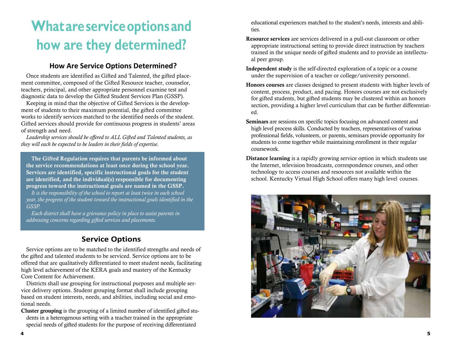# **Whatareserviceoptionsand how are they determined?**

#### **How Are Service Options Determined?**

Once students are identified as Gifted and Talented, the gifted placement committee, composed of the Gifted Resource teacher, counselor, teachers, principal, and other appropriate personnel examine test and diagnostic data to develop the Gifted Student Services Plan (GSSP).

Keeping in mind that the objective of Gifted Services is the development of students to their maximum potential, the gifted committee works to identify services matched to the identified needs of the student. Gifted services should provide for continuous progress in students' areas of strength and need.

*Leadership services should be offered to ALL Gifted and Talented students, as they will each be expected to be leaders in their fields of expertise.*

The Gifted Regulation requires that parents be informed about the service recommendations at least once during the school year. Services are identified, specific instructional goals for the student are identified, and the individual(s) responsible for documenting progress toward the instructional goals are named in the GSSP.

*It is the responsibility of the school to report at least twice in each school year, the progress of the student toward the instructional goals identified in the GSSP.*

*Each district shall have a grievance policy in place to assist parents in addressing concerns regarding gifted services and placements.*

### **Service Options**

Service options are to be matched to the identified strengths and needs of the gifted and talented students to be serviced. Service options are to be offered that are qualitatively differentiated to meet student needs, facilitating high level achievement of the KERA goals and mastery of the Kentucky Core Content for Achievement.

Districts shall use grouping for instructional purposes and multiple service delivery options. Student grouping format shall include grouping based on student interests, needs, and abilities, including social and emotional needs.

Cluster grouping is the grouping of a limited number of identified gifted students in a heterogenous setting with a teacher trained in the appropriate special needs of gifted students for the purpose of receiving differentiated

educational experiences matched to the student's needs, interests and abilities.

- Resource services are services delivered in a pull-out classroom or other appropriate instructional setting to provide direct instruction by teachers trained in the unique needs of gifted students and to provide an intellectual peer group.
- Independent study is the self-directed exploration of a topic or a course under the supervision of a teacher or college/university personnel.
- Honors courses are classes designed to present students with higher levels of content, process, product, and pacing. Honors courses are not exclusively for gifted students, but gifted students may be clustered within an honors section, providing a higher level curriculum that can be further differentiated.
- Seminars are sessions on specific topics focusing on advanced content and high level process skills. Conducted by teachers, representatives of various professional fields, volunteers, or parents, seminars provide opportunity for students to come together while maintaining enrollment in their regular coursework.
- Distance learning is a rapidly growing service option in which students use the Internet, television broadcasts, correspondence courses, and other technology to access courses and resources not available within the school. Kentucky Virtual High School offers many high level courses.

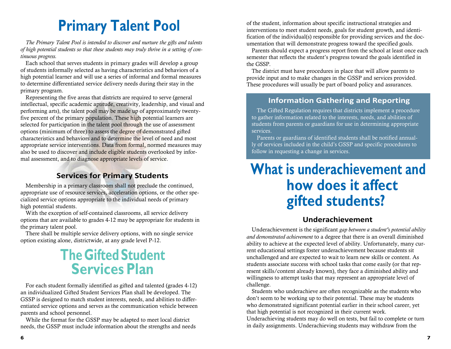# **Primary Talent Pool**

*The Primary Talent Pool is intended to discover and nurture the gifts and talents of high potential students so that these students may truly thrive in a setting of continuous progress.*

Each school that serves students in primary grades will develop a group of students informally selected as having characteristics and behaviors of a high potential learner and will use a series of informal and formal measures to determine differentiated service delivery needs during their stay in the primary program.

Representing the five areas that districts are required to serve (general intellectual, specific academic aptitude, creativity, leadership, and visual and performing arts), the talent pool may be made up of approximately twentyfive percent of the primary population. These high potential learners are selected for participation in the talent pool through the use of assessment options (minimum of three) to assess the degree of demonstrated gifted characteristics and behaviors and to determine the level of need and most appropriate service interventions. Data from formal, normed measures may also be used to discover and include eligible students overlooked by informal assessment, and to diagnose appropriate levels of service.

### **Services for Primary Students**

Membership in a primary classroom shall not preclude the continued, appropriate use of resource services, acceleration options, or the other specialized service options appropriate to the individual needs of primary high potential students.

With the exception of self-contained classrooms, all service delivery options that are available to grades 4-12 may be appropriate for students in the primary talent pool.

There shall be multiple service delivery options, with no single service option existing alone, districtwide, at any grade level P-12.

# **The GiftedStudent Services Plan**

For each student formally identified as gifted and talented (grades 4-12) an individualized Gifted Student Services Plan shall be developed. The GSSP is designed to match student interests, needs, and abilities to differentiated service options and serves as the communication vehicle between parents and school personnel.

While the format for the GSSP may be adapted to meet local district needs, the GSSP must include information about the strengths and needs of the student, information about specific instructional strategies and interventions to meet student needs, goals for student growth, and identification of the individual(s) responsible for providing services and the documentation that will demonstrate progress toward the specified goals.

Parents should expect a progress report from the school at least once each semester that reflects the student's progress toward the goals identified in the GSSP.

The district must have procedures in place that will allow parents to provide input and to make changes in the GSSP and services provided. These procedures will usually be part of board policy and assurances.

#### **Information Gathering and Reporting**

The Gifted Regulation requires that districts implement a procedure to gather information related to the interests, needs, and abilities of students from parents or guardians for use in determining appropriate services.

Parents or guardians of identified students shall be notified annually of services included in the child's GSSP and specific procedures to follow in requesting a change in services.

# **What is underachievement and how does it affect gifted students?**

#### **Underachievement**

Underachievement is the significant *gap between a student's potential ability and demonstrated achievement* to a degree that there is an overall diminished ability to achieve at the expected level of ability. Unfortunately, many current educational settings foster underachievement because students sit unchallenged and are expected to wait to learn new skills or content. As students associate success with school tasks that come easily (or that represent skills/content already known), they face a diminished ability and willingness to attempt tasks that may represent an appropriate level of challenge.

Students who underachieve are often recognizable as the students who don't seem to be working up to their potential. These may be students who demonstrated significant potential earlier in their school career, yet that high potential is not recognized in their current work. Underachieving students may do well on tests, but fail to complete or turn in daily assignments. Underachieving students may withdraw from the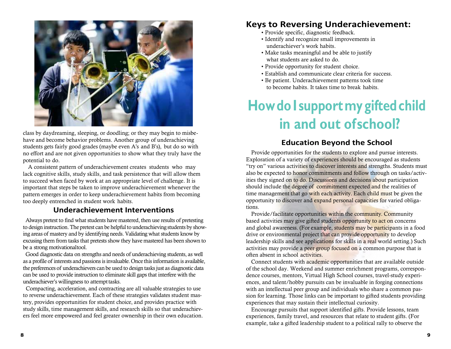

class by daydreaming, sleeping, or doodling; or they may begin to misbehave and become behavior problems. Another group of underachieving students gets fairly good grades (maybe even A's and B's), but do so with no effort and are not given opportunities to show what they truly have the potential to do.

A consistent pattern of underachievement creates students who may lack cognitive skills, study skills, and task persistence that will allow them to succeed when faced by work at an appropriate level of challenge. It is important that steps be taken to improve underachievement whenever the pattern emerges in order to keep underachievement habits from becoming too deeply entrenched in student work habits.

#### **Underachievement Interventions**

Always pretest to find what students have mastered, then use results of pretesting to design instruction. The pretest can be helpful to underachieving students by showing areas of mastery and by identifying needs. Validating what students know by excusing them from tasks that pretests show they have mastered has been shown to be a strong motivationaltool.

Good diagnostic data on strengths and needs of underachieving students, as well as a profile of interests and passions is invaluable. Once this information is available, the preferences of underachievers can be used to design tasks just as diagnostic data can be used to provide instruction to eliminate skill gaps that interfere with the underachiever's willingness to attempt tasks.

Compacting, acceleration, and contracting are all valuable strategies to use to reverse underachievement. Each of these strategies validates student mastery, provides opportunities for student choice, and provides practice with study skills, time management skills, and research skills so that underachievers feel more empowered and feel greater ownership in their own education.

### **Keys to Reversing Underachievement:**

- Provide specific, diagnostic feedback.
- Identify and recognize small improvements in underachiever's work habits.
- Make tasks meaningful and be able to justify what students are asked to do.
- Provide opportunity for student choice.
- Establish and communicate clear criteria for success.
- Be patient. Underachievement patterns took time to become habits. It takes time to break habits.

# **HowdoI supportmygiftedchild in and out ofschool?**

### **Education Beyond the School**

Provide opportunities for the students to explore and pursue interests. Exploration of a variety of experiences should be encouraged as students "try on" various activities to discover interests and strengths. Students must also be expected to honor commitments and follow through on tasks/activities they signed on to do. Discussions and decisions about participation should include the degree of commitment expected and the realities of time management that go with each activity. Each child must be given the opportunity to discover and expand personal capacities for varied obligations.

Provide/facilitate opportunities within the community. Community based activities may give gifted students opportunity to act on concerns and global awareness. (For example, students may be participants in a food drive or environmental project that can provide opportunity to develop leadership skills and see applications for skills in a real world setting.) Such activities may provide a peer group focused on a common purpose that is often absent in school activities.

Connect students with academic opportunities that are available outside of the school day. Weekend and summer enrichment programs, correspondence courses, mentors, Virtual High School courses, travel-study experiences, and talent/hobby pursuits can be invaluable in forging connections with an intellectual peer group and individuals who share a common passion for learning. Those links can be important to gifted students providing experiences that may sustain their intellectual curiosity.

Encourage pursuits that support identified gifts. Provide lessons, team experiences, family travel, and resources that relate to student gifts. (For example, take a gifted leadership student to a political rally to observe the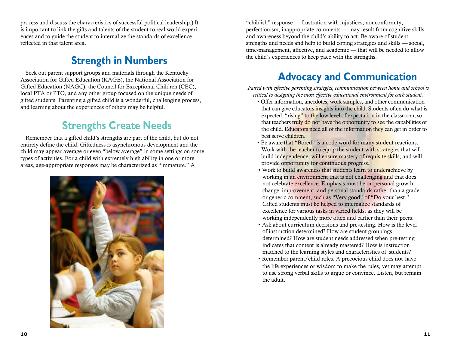process and discuss the characteristics of successful political leadership.) It is important to link the gifts and talents of the student to real world experiences and to guide the student to internalize the standards of excellence reflected in that talent area.

### **Strength in Numbers**

Seek out parent support groups and materials through the Kentucky Association for Gifted Education (KAGE), the National Association for Gifted Education (NAGC), the Council for Exceptional Children (CEC), local PTA or PTO, and any other group focused on the unique needs of gifted students. Parenting a gifted child is a wonderful, challenging process, and learning about the experiences of others may be helpful.

### **Strengths Create Needs**

Remember that a gifted child's strengths are part of the child, but do not entirely define the child. Giftedness is asynchronous development and the child may appear average or even "below average" in some settings on some types of activities. For a child with extremely high ability in one or more areas, age-appropriate responses may be characterized as "immature." A



"childish" response — frustration with injustices, nonconformity, perfectionism, inappropriate comments — may result from cognitive skills and awareness beyond the child's ability to act. Be aware of student strengths and needs and help to build coping strategies and skills — social, time-management, affective, and academic — that will be needed to allow the child's experiences to keep pace with the strengths.

### **Advocacy and Communication**

*Paired with effective parenting strategies, communication between home and school is critical to designing the most effective educational environment for each student.*

- Offer information, anecdotes, work samples, and other communication that can give educators insights into the child. Students often do what is expected, "rising" to the low level of expectation in the classroom, so that teachers truly do not have the opportunity to see the capabilities of the child. Educators need all of the information they can get in order to best serve children.
- Be aware that "Bored" is a code word for many student reactions. Work with the teacher to equip the student with strategies that will build independence, will ensure mastery of requisite skills, and will provide opportunity for continuous progress.
- Work to build awareness that students learn to underachieve by working in an environment that is not challenging and that does not celebrate excellence. Emphasis must be on personal growth, change, improvement, and personal standards rather than a grade or generic comment, such as "Very good" of "Do your best." Gifted students must be helped to internalize standards of excellence for various tasks in varied fields, as they will be working independently more often and earlier than their peers.
- Ask about curriculum decisions and pre-testing. How is the level of instruction determined? How are student groupings determined? How are student needs addressed when pre-testing indicates that content is already mastered? How is instruction matched to the learning styles and characteristics of students?
- the life experiences or wisdom to make the rules, yet may attempt to use strong verbal skills to argue or convince. Listen, but remain the adult. • Remember parent/child roles. A precocious child does not have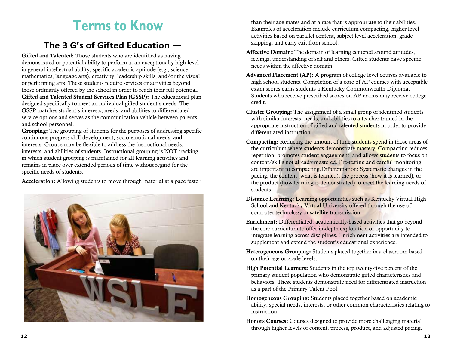# **Terms to Know**

### **The 3 G's of Gifted Education —**

Gifted and Talented: Those students who are identified as having demonstrated or potential ability to perform at an exceptionally high level in general intellectual ability, specific academic aptitude (e.g., science, mathematics, language arts), creativity, leadership skills, and/or the visual or performing arts. These students require services or activities beyond those ordinarily offered by the school in order to reach their full potential. Gifted and Talented Student Services Plan (GSSP): The educational plan designed specifically to meet an individual gifted student's needs. The GSSP matches student's interests, needs, and abilities to differentiated service options and serves as the communication vehicle between parents and school personnel.

Grouping: The grouping of students for the purposes of addressing specific continuous progress skill development, socio-emotional needs, and interests. Groups may be flexible to address the instructional needs, interests, and abilities of students. Instructional grouping is NOT tracking, in which student grouping is maintained for all learning activities and remains in place over extended periods of time without regard for the specific needs of students.

Acceleration: Allowing students to move through material at a pace faster



than their age mates and at a rate that is appropriate to their abilities. Examples of acceleration include curriculum compacting, higher level activities based on parallel content, subject level acceleration, grade skipping, and early exit from school.

- Affective Domain: The domain of learning centered around attitudes, feelings, understanding of self and others. Gifted students have specific needs within the affective domain.
- credit. Advanced Placement (AP): A program of college level courses available to high school students. Completion of a core of AP courses with acceptable exam scores earns students a Kentucky Commonwealth Diploma. Students who receive prescribed scores on AP exams may receive college
- Cluster Grouping: The assignment of a small group of identified students with similar interests, needs, and abilities to a teacher trained in the appropriate instruction of gifted and talented students in order to provide differentiated instruction.
- Compacting: Reducing the amount of time students spend in those areas of the curriculum where students demonstrate mastery. Compacting reduces repetition, promotes student engagement, and allows students to focus on content/skills not already mastered. Pre-testing and careful monitoring are important to compacting.Differentiation: Systematic changes in the pacing, the content (what is learned), the process (how it is learned), or the product (how learning is demonstrated) to meet the learning needs of students.
- Distance Learning: Learning opportunities such as Kentucky Virtual High School and Kentucky Virtual University offered through the use of computer technology or satellite transmission.
- Enrichment: Differentiated, academically-based activities that go beyond the core curriculum to offer in-depth exploration or opportunity to integrate learning across disciplines. Enrichment activities are intended to supplement and extend the student's educational experience.
- Heterogeneous Grouping: Students placed together in a classroom based on their age or grade levels.
- High Potential Learners: Students in the top twenty-five percent of the primary student population who demonstrate gifted characteristics and behaviors. These students demonstrate need for differentiated instruction as a part of the Primary Talent Pool.
- Homogeneous Grouping: Students placed together based on academic ability, special needs, interests, or other common characteristics relating to instruction.
- Honors Courses: Courses designed to provide more challenging material through higher levels of content, process, product, and adjusted pacing.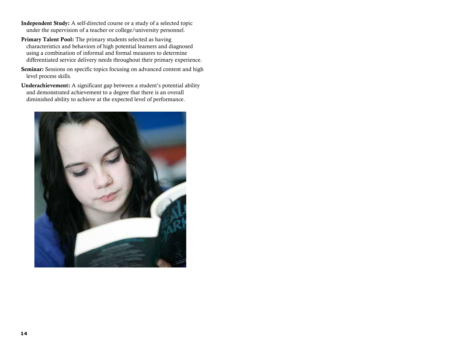- Independent Study: A self-directed course or a study of a selected topic under the supervision of a teacher or college/university personnel.
- Primary Talent Pool: The primary students selected as having characteristics and behaviors of high potential learners and diagnosed using a combination of informal and formal measures to determine differentiated service delivery needs throughout their primary experience.
- Seminar: Sessions on specific topics focusing on advanced content and high level process skills.
- Underachievement: A significant gap between a student's potential ability and demonstrated achievement to a degree that there is an overall diminished ability to achieve at the expected level of performance.